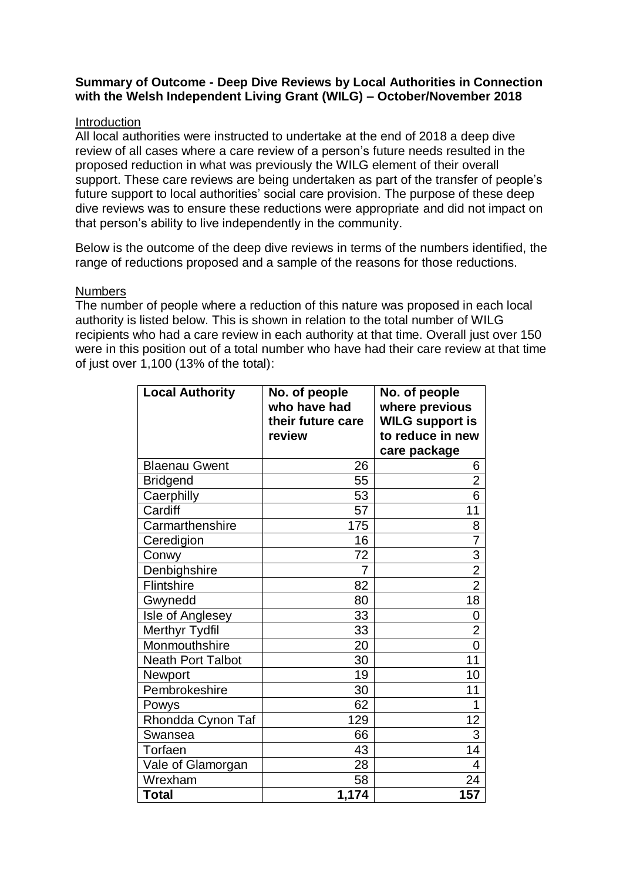## **Summary of Outcome - Deep Dive Reviews by Local Authorities in Connection with the Welsh Independent Living Grant (WILG) – October/November 2018**

## Introduction

All local authorities were instructed to undertake at the end of 2018 a deep dive review of all cases where a care review of a person's future needs resulted in the proposed reduction in what was previously the WILG element of their overall support. These care reviews are being undertaken as part of the transfer of people's future support to local authorities' social care provision. The purpose of these deep dive reviews was to ensure these reductions were appropriate and did not impact on that person's ability to live independently in the community.

Below is the outcome of the deep dive reviews in terms of the numbers identified, the range of reductions proposed and a sample of the reasons for those reductions.

## **Numbers**

The number of people where a reduction of this nature was proposed in each local authority is listed below. This is shown in relation to the total number of WILG recipients who had a care review in each authority at that time. Overall just over 150 were in this position out of a total number who have had their care review at that time of just over 1,100 (13% of the total):

| <b>Local Authority</b>   | No. of people<br>who have had | No. of people                            |
|--------------------------|-------------------------------|------------------------------------------|
|                          | their future care             | where previous<br><b>WILG support is</b> |
|                          | review                        | to reduce in new                         |
|                          |                               | care package                             |
| <b>Blaenau Gwent</b>     | 26                            | 6                                        |
| <b>Bridgend</b>          | 55                            | $\overline{2}$                           |
| Caerphilly               | 53                            | $\overline{6}$                           |
| Cardiff                  | 57                            | 11                                       |
| Carmarthenshire          | 175                           | 8                                        |
| Ceredigion               | 16                            | $\overline{7}$                           |
| Conwy                    | 72                            |                                          |
| <b>Denbighshire</b>      | 7                             | $\frac{3}{2}$                            |
| Flintshire               | 82                            |                                          |
| Gwynedd                  | 80                            | $\overline{18}$                          |
| Isle of Anglesey         | 33                            | 0                                        |
| <b>Merthyr Tydfil</b>    | 33                            | $\overline{2}$                           |
| Monmouthshire            | 20                            | $\overline{0}$                           |
| <b>Neath Port Talbot</b> | 30                            | 11                                       |
| Newport                  | 19                            | 10                                       |
| Pembrokeshire            | 30                            | 11                                       |
| Powys                    | 62                            | 1                                        |
| Rhondda Cynon Taf        | 129                           | 12                                       |
| Swansea                  | 66                            | $\overline{3}$                           |
| Torfaen                  | 43                            | 14                                       |
| Vale of Glamorgan        | 28                            | 4                                        |
| Wrexham                  | 58                            | 24                                       |
| <b>Total</b>             | 1,174                         | 157                                      |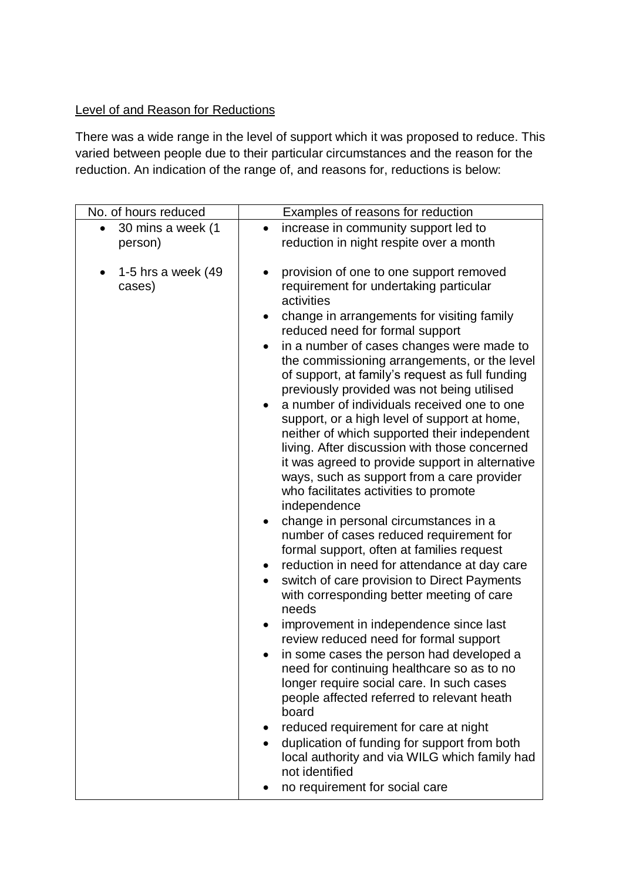## Level of and Reason for Reductions

There was a wide range in the level of support which it was proposed to reduce. This varied between people due to their particular circumstances and the reason for the reduction. An indication of the range of, and reasons for, reductions is below:

| No. of hours reduced            | Examples of reasons for reduction                                                                                                                                                                                                                                                                                                                                                                                                                                                                                                                                                                                                                                                                                                                                                                                                                                                                                                                                                                                                                                                                                                                                                                                                                                                                                                                                      |
|---------------------------------|------------------------------------------------------------------------------------------------------------------------------------------------------------------------------------------------------------------------------------------------------------------------------------------------------------------------------------------------------------------------------------------------------------------------------------------------------------------------------------------------------------------------------------------------------------------------------------------------------------------------------------------------------------------------------------------------------------------------------------------------------------------------------------------------------------------------------------------------------------------------------------------------------------------------------------------------------------------------------------------------------------------------------------------------------------------------------------------------------------------------------------------------------------------------------------------------------------------------------------------------------------------------------------------------------------------------------------------------------------------------|
| 30 mins a week (1<br>person)    | increase in community support led to<br>$\bullet$<br>reduction in night respite over a month                                                                                                                                                                                                                                                                                                                                                                                                                                                                                                                                                                                                                                                                                                                                                                                                                                                                                                                                                                                                                                                                                                                                                                                                                                                                           |
| 1-5 hrs a week $(49)$<br>cases) | provision of one to one support removed<br>requirement for undertaking particular<br>activities<br>change in arrangements for visiting family<br>reduced need for formal support<br>in a number of cases changes were made to<br>the commissioning arrangements, or the level<br>of support, at family's request as full funding<br>previously provided was not being utilised<br>a number of individuals received one to one<br>support, or a high level of support at home,<br>neither of which supported their independent<br>living. After discussion with those concerned<br>it was agreed to provide support in alternative<br>ways, such as support from a care provider<br>who facilitates activities to promote<br>independence<br>change in personal circumstances in a<br>number of cases reduced requirement for<br>formal support, often at families request<br>reduction in need for attendance at day care<br>switch of care provision to Direct Payments<br>$\bullet$<br>with corresponding better meeting of care<br>needs<br>improvement in independence since last<br>review reduced need for formal support<br>in some cases the person had developed a<br>need for continuing healthcare so as to no<br>longer require social care. In such cases<br>people affected referred to relevant heath<br>board<br>reduced requirement for care at night |
|                                 | duplication of funding for support from both<br>local authority and via WILG which family had<br>not identified                                                                                                                                                                                                                                                                                                                                                                                                                                                                                                                                                                                                                                                                                                                                                                                                                                                                                                                                                                                                                                                                                                                                                                                                                                                        |
|                                 | no requirement for social care                                                                                                                                                                                                                                                                                                                                                                                                                                                                                                                                                                                                                                                                                                                                                                                                                                                                                                                                                                                                                                                                                                                                                                                                                                                                                                                                         |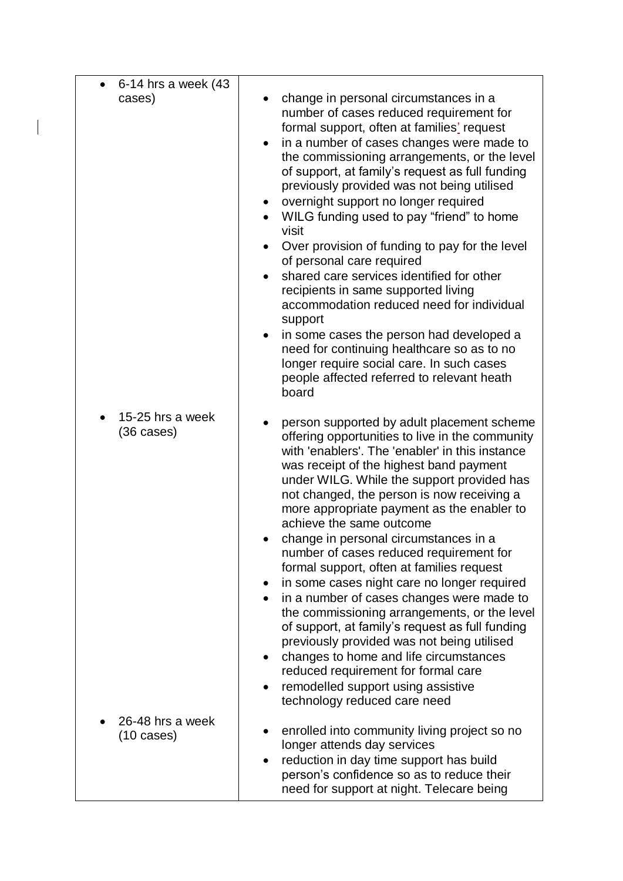| 6-14 hrs a week (43<br>cases)            | change in personal circumstances in a<br>number of cases reduced requirement for<br>formal support, often at families' request<br>in a number of cases changes were made to<br>the commissioning arrangements, or the level<br>of support, at family's request as full funding<br>previously provided was not being utilised<br>overnight support no longer required<br>$\bullet$<br>WILG funding used to pay "friend" to home<br>visit<br>Over provision of funding to pay for the level<br>of personal care required<br>shared care services identified for other<br>$\bullet$<br>recipients in same supported living<br>accommodation reduced need for individual<br>support<br>in some cases the person had developed a<br>$\bullet$<br>need for continuing healthcare so as to no<br>longer require social care. In such cases<br>people affected referred to relevant heath<br>board                                                         |
|------------------------------------------|----------------------------------------------------------------------------------------------------------------------------------------------------------------------------------------------------------------------------------------------------------------------------------------------------------------------------------------------------------------------------------------------------------------------------------------------------------------------------------------------------------------------------------------------------------------------------------------------------------------------------------------------------------------------------------------------------------------------------------------------------------------------------------------------------------------------------------------------------------------------------------------------------------------------------------------------------|
| 15-25 hrs a week<br>$(36 \text{ cases})$ | person supported by adult placement scheme<br>offering opportunities to live in the community<br>with 'enablers'. The 'enabler' in this instance<br>was receipt of the highest band payment<br>under WILG. While the support provided has<br>not changed, the person is now receiving a<br>more appropriate payment as the enabler to<br>achieve the same outcome<br>change in personal circumstances in a<br>number of cases reduced requirement for<br>formal support, often at families request<br>in some cases night care no longer required<br>$\bullet$<br>in a number of cases changes were made to<br>$\bullet$<br>the commissioning arrangements, or the level<br>of support, at family's request as full funding<br>previously provided was not being utilised<br>changes to home and life circumstances<br>$\bullet$<br>reduced requirement for formal care<br>remodelled support using assistive<br>٠<br>technology reduced care need |
| 26-48 hrs a week<br>$(10 \text{ cases})$ | enrolled into community living project so no<br>longer attends day services<br>reduction in day time support has build<br>person's confidence so as to reduce their<br>need for support at night. Telecare being                                                                                                                                                                                                                                                                                                                                                                                                                                                                                                                                                                                                                                                                                                                                   |